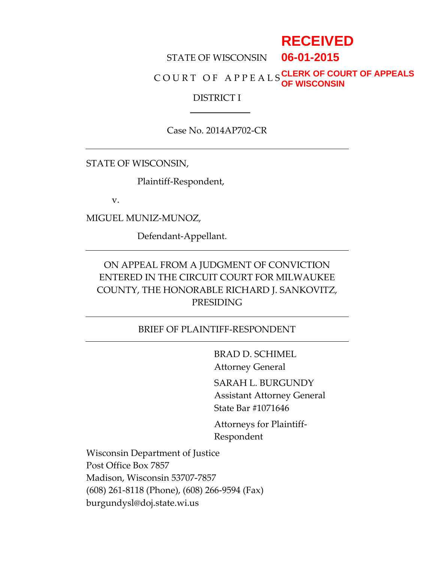# **RECEIVED**

STATE OF WISCONSIN **06-01-2015**

C O U R T O F A P P E A L S **CLERK OF COURT OF APPEALS OF WISCONSIN**

## DISTRICT I

Case No. 2014AP702-CR

STATE OF WISCONSIN,

Plaintiff-Respondent,

v.

MIGUEL MUNIZ-MUNOZ,

Defendant-Appellant.

# ON APPEAL FROM A JUDGMENT OF CONVICTION ENTERED IN THE CIRCUIT COURT FOR MILWAUKEE COUNTY, THE HONORABLE RICHARD J. SANKOVITZ, PRESIDING

## BRIEF OF PLAINTIFF-RESPONDENT

BRAD D. SCHIMEL Attorney General

SARAH L. BURGUNDY

Assistant Attorney General State Bar #1071646

Attorneys for Plaintiff-Respondent

Wisconsin Department of Justice Post Office Box 7857 Madison, Wisconsin 53707-7857 (608) 261-8118 (Phone), (608) 266-9594 (Fax) burgundysl@doj.state.wi.us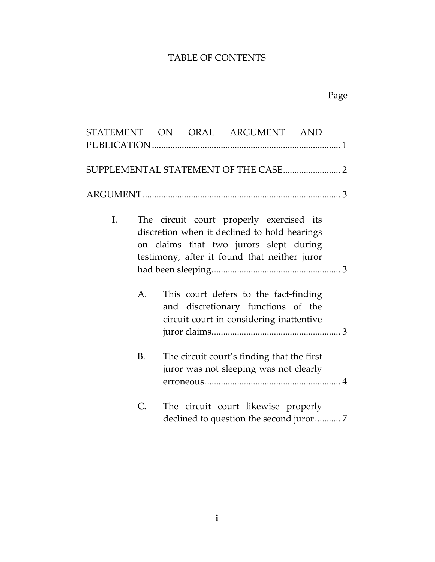# TABLE OF CONTENTS

| STATEMENT ON ORAL ARGUMENT AND |    |  |                                                                                                                                                                                    |  |  |
|--------------------------------|----|--|------------------------------------------------------------------------------------------------------------------------------------------------------------------------------------|--|--|
|                                |    |  |                                                                                                                                                                                    |  |  |
|                                |    |  |                                                                                                                                                                                    |  |  |
|                                |    |  |                                                                                                                                                                                    |  |  |
| Ι.                             |    |  | The circuit court properly exercised its<br>discretion when it declined to hold hearings<br>on claims that two jurors slept during<br>testimony, after it found that neither juror |  |  |
|                                |    |  |                                                                                                                                                                                    |  |  |
|                                | А. |  | This court defers to the fact-finding<br>and discretionary functions of the<br>circuit court in considering inattentive                                                            |  |  |
|                                | B. |  | The circuit court's finding that the first<br>juror was not sleeping was not clearly                                                                                               |  |  |
|                                | C. |  | The circuit court likewise properly                                                                                                                                                |  |  |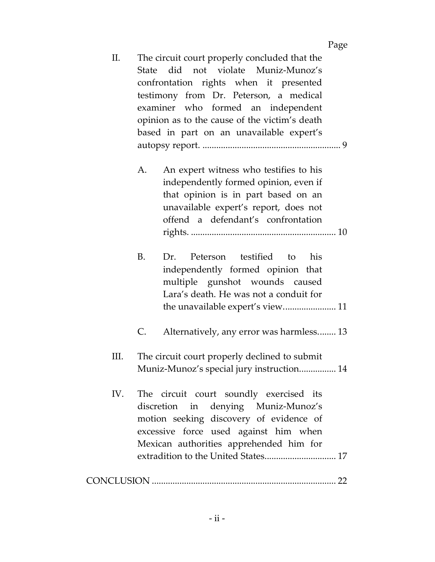#### Page

- II. The circuit court properly concluded that the State did not violate Muniz-Munoz's confrontation rights when it presented testimony from Dr. Peterson, a medical examiner who formed an independent opinion as to the cause of the victim's death based in part on an unavailable expert's autopsy report. ............................................................ 9 A. An expert witness who testifies to his independently formed opinion, even if that opinion is in part based on an unavailable expert's report, does not offend a defendant's confrontation rights. ............................................................... 10 B. Dr. Peterson testified to his
	- independently formed opinion that multiple gunshot wounds caused Lara's death. He was not a conduit for the unavailable expert's view....................... 11
	- C. Alternatively, any error was harmless........ 13
- III. The circuit court properly declined to submit Muniz-Munoz's special jury instruction................ 14
- IV. The circuit court soundly exercised its discretion in denying Muniz-Munoz's motion seeking discovery of evidence of excessive force used against him when Mexican authorities apprehended him for extradition to the United States............................... 17

|--|--|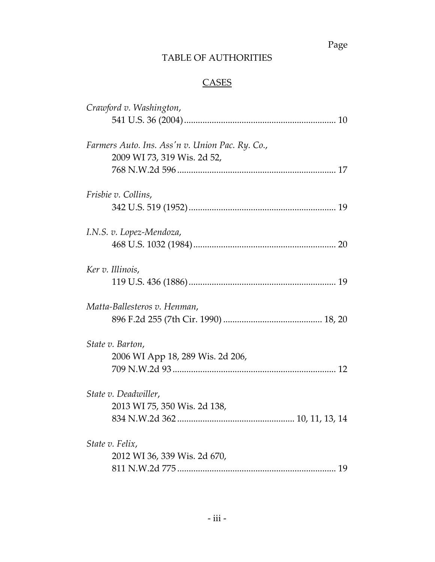# Page

# TABLE OF AUTHORITIES

# **CASES**

| Crawford v. Washington,                         |
|-------------------------------------------------|
|                                                 |
| Farmers Auto. Ins. Ass'n v. Union Pac. Ry. Co., |
| 2009 WI 73, 319 Wis. 2d 52,                     |
|                                                 |
| Frisbie v. Collins,                             |
|                                                 |
| I.N.S. v. Lopez-Mendoza,                        |
|                                                 |
| Ker v. Illinois,                                |
|                                                 |
| Matta-Ballesteros v. Henman,                    |
|                                                 |
| State v. Barton,                                |
| 2006 WI App 18, 289 Wis. 2d 206,                |
|                                                 |
| State v. Deadwiller,                            |
| 2013 WI 75, 350 Wis. 2d 138,                    |
|                                                 |
| State v. Felix,                                 |
| 2012 WI 36, 339 Wis. 2d 670,                    |
|                                                 |
|                                                 |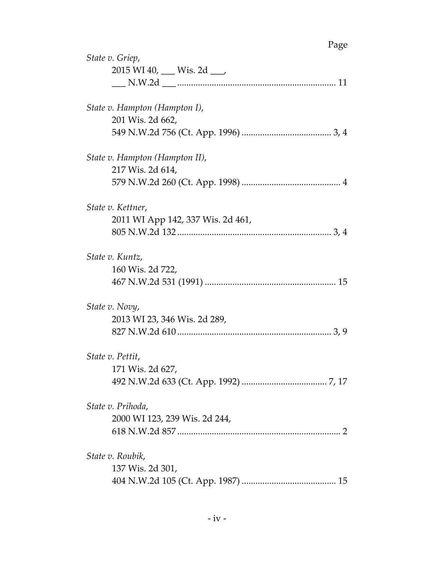| State v. Griep,                   |
|-----------------------------------|
| 2015 WI 40, ___ Wis. 2d ___       |
|                                   |
| State v. Hampton (Hampton I),     |
| 201 Wis. 2d 662,                  |
|                                   |
| State v. Hampton (Hampton II),    |
| 217 Wis. 2d 614,                  |
|                                   |
| State v. Kettner,                 |
| 2011 WI App 142, 337 Wis. 2d 461, |
|                                   |
| State v. Kuntz,                   |
| 160 Wis. 2d 722,                  |
|                                   |
| State v. Novy,                    |
| 2013 WI 23, 346 Wis. 2d 289,      |
|                                   |
| State v. Pettit,                  |
| 171 Wis. 2d 627,                  |
|                                   |
| State v. Prihoda,                 |
| 2000 WI 123, 239 Wis. 2d 244,     |
|                                   |
| State v. Roubik,                  |
| 137 Wis. 2d 301,                  |
|                                   |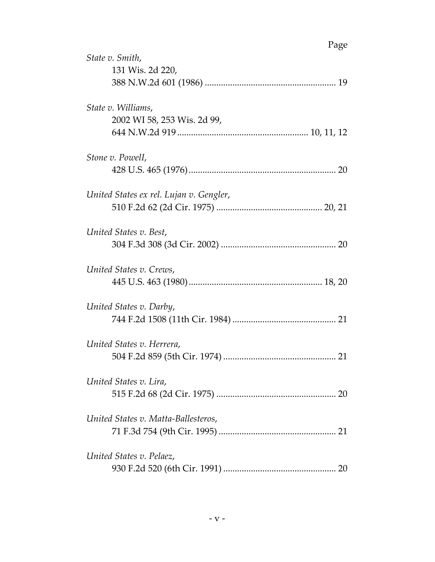| Page                                              |
|---------------------------------------------------|
| State v. Smith,<br>131 Wis. 2d 220,               |
| State v. Williams,<br>2002 WI 58, 253 Wis. 2d 99, |
| Stone v. Powell,                                  |
| United States ex rel. Lujan v. Gengler,           |
| United States v. Best,                            |
| United States v. Crews,                           |
| United States v. Darby,                           |
| United States v. Herrera,                         |
| United States v. Lira,                            |
| United States v. Matta-Ballesteros,               |
| United States v. Pelaez,                          |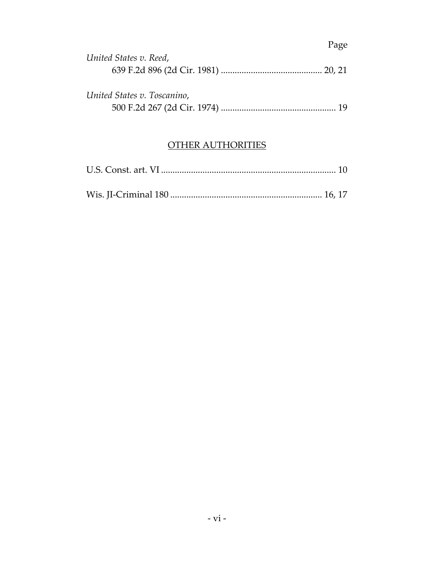|                             | Page |
|-----------------------------|------|
| United States v. Reed,      |      |
|                             |      |
| United States v. Toscanino, |      |
|                             |      |

# OTHER AUTHORITIES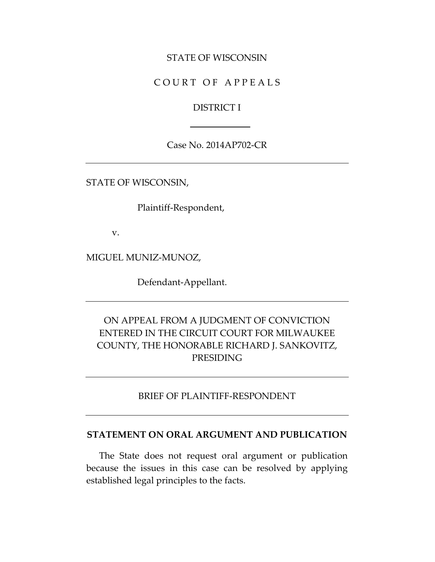## STATE OF WISCONSIN

# COURT OF APPEALS

### DISTRICT I

Case No. 2014AP702-CR

STATE OF WISCONSIN,

Plaintiff-Respondent,

v.

MIGUEL MUNIZ-MUNOZ,

Defendant-Appellant.

# ON APPEAL FROM A JUDGMENT OF CONVICTION ENTERED IN THE CIRCUIT COURT FOR MILWAUKEE COUNTY, THE HONORABLE RICHARD J. SANKOVITZ, PRESIDING

### BRIEF OF PLAINTIFF-RESPONDENT

### **STATEMENT ON ORAL ARGUMENT AND PUBLICATION**

The State does not request oral argument or publication because the issues in this case can be resolved by applying established legal principles to the facts.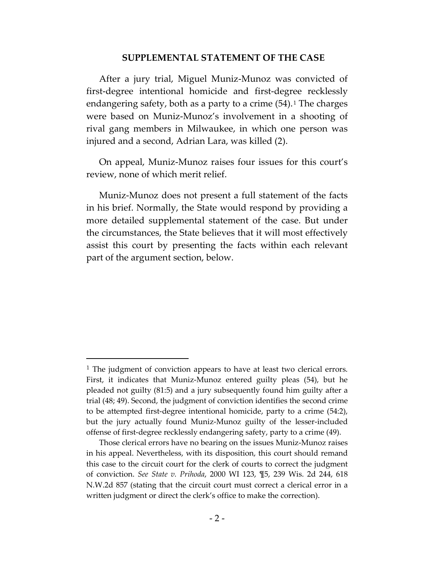#### **SUPPLEMENTAL STATEMENT OF THE CASE**

After a jury trial, Miguel Muniz-Munoz was convicted of first-degree intentional homicide and first-degree recklessly endangering safety, both as a party to a crime  $(54)$ .<sup>[1](#page-8-0)</sup> The charges were based on Muniz-Munoz's involvement in a shooting of rival gang members in Milwaukee, in which one person was injured and a second, Adrian Lara, was killed (2).

On appeal, Muniz-Munoz raises four issues for this court's review, none of which merit relief.

Muniz-Munoz does not present a full statement of the facts in his brief. Normally, the State would respond by providing a more detailed supplemental statement of the case. But under the circumstances, the State believes that it will most effectively assist this court by presenting the facts within each relevant part of the argument section, below.

 $\overline{a}$ 

<span id="page-8-0"></span><sup>&</sup>lt;sup>1</sup> The judgment of conviction appears to have at least two clerical errors. First, it indicates that Muniz-Munoz entered guilty pleas (54), but he pleaded not guilty (81:5) and a jury subsequently found him guilty after a trial (48; 49). Second, the judgment of conviction identifies the second crime to be attempted first-degree intentional homicide, party to a crime (54:2), but the jury actually found Muniz-Munoz guilty of the lesser-included offense of first-degree recklessly endangering safety, party to a crime (49).

Those clerical errors have no bearing on the issues Muniz-Munoz raises in his appeal. Nevertheless, with its disposition, this court should remand this case to the circuit court for the clerk of courts to correct the judgment of conviction. *See State v. Prihoda*, 2000 WI 123, ¶5, 239 Wis. 2d 244, 618 N.W.2d 857 (stating that the circuit court must correct a clerical error in a written judgment or direct the clerk's office to make the correction).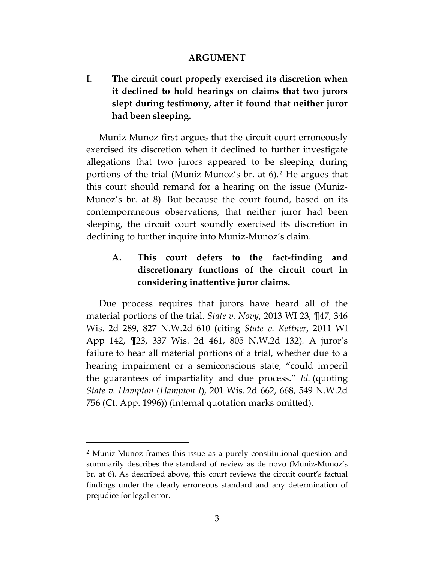## **ARGUMENT**

**I. The circuit court properly exercised its discretion when it declined to hold hearings on claims that two jurors slept during testimony, after it found that neither juror had been sleeping.**

Muniz-Munoz first argues that the circuit court erroneously exercised its discretion when it declined to further investigate allegations that two jurors appeared to be sleeping during portions of the trial (Muniz-Munoz's br. at 6).[2](#page-9-0) He argues that this court should remand for a hearing on the issue (Muniz-Munoz's br. at 8). But because the court found, based on its contemporaneous observations, that neither juror had been sleeping, the circuit court soundly exercised its discretion in declining to further inquire into Muniz-Munoz's claim.

# **A. This court defers to the fact-finding and discretionary functions of the circuit court in considering inattentive juror claims.**

Due process requires that jurors have heard all of the material portions of the trial. *State v. Novy*, 2013 WI 23, ¶47, 346 Wis. 2d 289, 827 N.W.2d 610 (citing *State v. Kettner*, 2011 WI App 142, ¶23, 337 Wis. 2d 461, 805 N.W.2d 132)*.* A juror's failure to hear all material portions of a trial, whether due to a hearing impairment or a semiconscious state, "could imperil the guarantees of impartiality and due process." *Id.* (quoting *State v. Hampton (Hampton I*), 201 Wis. 2d 662, 668, 549 N.W.2d 756 (Ct. App. 1996)) (internal quotation marks omitted).

<span id="page-9-0"></span><sup>2</sup> Muniz-Munoz frames this issue as a purely constitutional question and summarily describes the standard of review as de novo (Muniz-Munoz's br. at 6). As described above, this court reviews the circuit court's factual findings under the clearly erroneous standard and any determination of prejudice for legal error.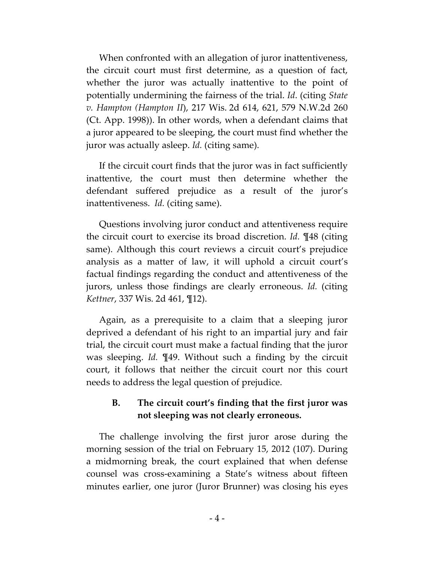When confronted with an allegation of juror inattentiveness, the circuit court must first determine, as a question of fact, whether the juror was actually inattentive to the point of potentially undermining the fairness of the trial. *Id*. (citing *State v. Hampton (Hampton II*), 217 Wis. 2d 614, 621, 579 N.W.2d 260 (Ct. App. 1998)). In other words, when a defendant claims that a juror appeared to be sleeping, the court must find whether the juror was actually asleep. *Id.* (citing same).

If the circuit court finds that the juror was in fact sufficiently inattentive, the court must then determine whether the defendant suffered prejudice as a result of the juror's inattentiveness. *Id.* (citing same).

Questions involving juror conduct and attentiveness require the circuit court to exercise its broad discretion. *Id.* ¶48 (citing same). Although this court reviews a circuit court's prejudice analysis as a matter of law, it will uphold a circuit court's factual findings regarding the conduct and attentiveness of the jurors, unless those findings are clearly erroneous. *Id.* (citing *Kettner*, 337 Wis. 2d 461, ¶12).

Again, as a prerequisite to a claim that a sleeping juror deprived a defendant of his right to an impartial jury and fair trial, the circuit court must make a factual finding that the juror was sleeping. *Id.* ¶49. Without such a finding by the circuit court, it follows that neither the circuit court nor this court needs to address the legal question of prejudice.

# **B. The circuit court's finding that the first juror was not sleeping was not clearly erroneous.**

The challenge involving the first juror arose during the morning session of the trial on February 15, 2012 (107). During a midmorning break, the court explained that when defense counsel was cross-examining a State's witness about fifteen minutes earlier, one juror (Juror Brunner) was closing his eyes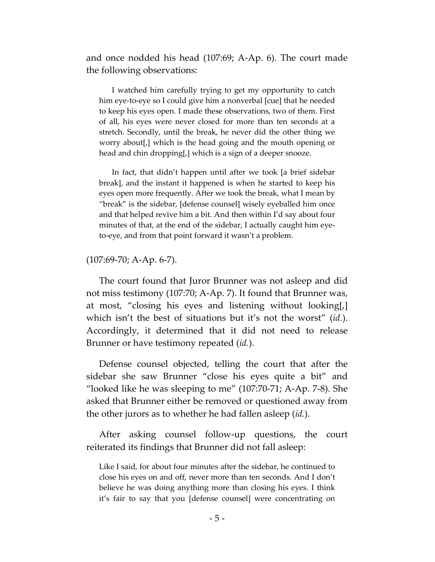and once nodded his head (107:69; A-Ap. 6). The court made the following observations:

I watched him carefully trying to get my opportunity to catch him eye-to-eye so I could give him a nonverbal [cue] that he needed to keep his eyes open. I made these observations, two of them. First of all, his eyes were never closed for more than ten seconds at a stretch. Secondly, until the break, he never did the other thing we worry about[,] which is the head going and the mouth opening or head and chin dropping[,] which is a sign of a deeper snooze.

In fact, that didn't happen until after we took [a brief sidebar break], and the instant it happened is when he started to keep his eyes open more frequently. After we took the break, what I mean by "break" is the sidebar, [defense counsel] wisely eyeballed him once and that helped revive him a bit. And then within I'd say about four minutes of that, at the end of the sidebar, I actually caught him eyeto-eye, and from that point forward it wasn't a problem.

#### (107:69-70; A-Ap. 6-7).

The court found that Juror Brunner was not asleep and did not miss testimony (107:70; A-Ap. 7). It found that Brunner was, at most, "closing his eyes and listening without looking[,] which isn't the best of situations but it's not the worst" (*id.*). Accordingly, it determined that it did not need to release Brunner or have testimony repeated (*id.*).

Defense counsel objected, telling the court that after the sidebar she saw Brunner "close his eyes quite a bit" and "looked like he was sleeping to me"  $(107:70-71; A-Ap. 7-8)$ . She asked that Brunner either be removed or questioned away from the other jurors as to whether he had fallen asleep (*id.*).

After asking counsel follow-up questions, the court reiterated its findings that Brunner did not fall asleep:

Like I said, for about four minutes after the sidebar, he continued to close his eyes on and off, never more than ten seconds. And I don't believe he was doing anything more than closing his eyes. I think it's fair to say that you [defense counsel] were concentrating on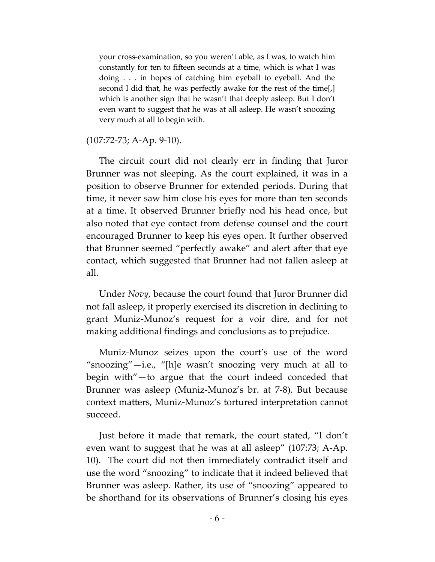your cross-examination, so you weren't able, as I was, to watch him constantly for ten to fifteen seconds at a time, which is what I was doing . . . in hopes of catching him eyeball to eyeball. And the second I did that, he was perfectly awake for the rest of the time[,] which is another sign that he wasn't that deeply asleep. But I don't even want to suggest that he was at all asleep. He wasn't snoozing very much at all to begin with.

### (107:72-73; A-Ap. 9-10).

The circuit court did not clearly err in finding that Juror Brunner was not sleeping. As the court explained, it was in a position to observe Brunner for extended periods. During that time, it never saw him close his eyes for more than ten seconds at a time. It observed Brunner briefly nod his head once, but also noted that eye contact from defense counsel and the court encouraged Brunner to keep his eyes open. It further observed that Brunner seemed "perfectly awake" and alert after that eye contact, which suggested that Brunner had not fallen asleep at all.

Under *Novy*, because the court found that Juror Brunner did not fall asleep, it properly exercised its discretion in declining to grant Muniz-Munoz's request for a voir dire, and for not making additional findings and conclusions as to prejudice.

Muniz-Munoz seizes upon the court's use of the word "snoozing"—i.e., "[h]e wasn't snoozing very much at all to begin with"—to argue that the court indeed conceded that Brunner was asleep (Muniz-Munoz's br. at 7-8). But because context matters, Muniz-Munoz's tortured interpretation cannot succeed.

Just before it made that remark, the court stated, "I don't even want to suggest that he was at all asleep" (107:73; A-Ap. 10). The court did not then immediately contradict itself and use the word "snoozing" to indicate that it indeed believed that Brunner was asleep. Rather, its use of "snoozing" appeared to be shorthand for its observations of Brunner's closing his eyes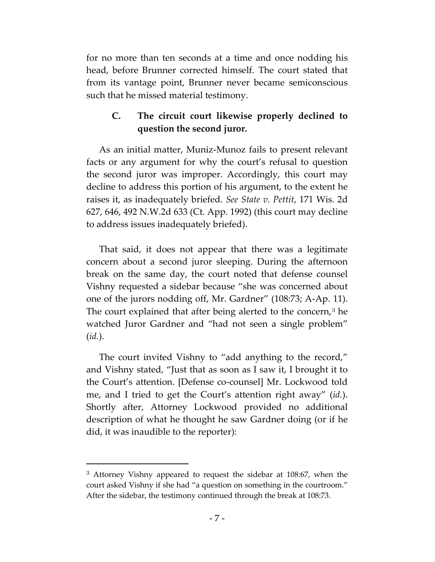for no more than ten seconds at a time and once nodding his head, before Brunner corrected himself. The court stated that from its vantage point, Brunner never became semiconscious such that he missed material testimony.

## **C. The circuit court likewise properly declined to question the second juror.**

As an initial matter, Muniz-Munoz fails to present relevant facts or any argument for why the court's refusal to question the second juror was improper. Accordingly, this court may decline to address this portion of his argument, to the extent he raises it, as inadequately briefed. *See State v. Pettit*, 171 Wis. 2d 627, 646, 492 N.W.2d 633 (Ct. App. 1992) (this court may decline to address issues inadequately briefed).

That said, it does not appear that there was a legitimate concern about a second juror sleeping. During the afternoon break on the same day, the court noted that defense counsel Vishny requested a sidebar because "she was concerned about one of the jurors nodding off, Mr. Gardner" (108:73; A-Ap. 11). The court explained that after being alerted to the concern, $3$  he watched Juror Gardner and "had not seen a single problem" (*id.*).

The court invited Vishny to "add anything to the record," and Vishny stated, "Just that as soon as I saw it, I brought it to the Court's attention. [Defense co-counsel] Mr. Lockwood told me, and I tried to get the Court's attention right away" (*id.*). Shortly after, Attorney Lockwood provided no additional description of what he thought he saw Gardner doing (or if he did, it was inaudible to the reporter):

<span id="page-13-0"></span><sup>3</sup> Attorney Vishny appeared to request the sidebar at 108:67, when the court asked Vishny if she had "a question on something in the courtroom." After the sidebar, the testimony continued through the break at 108:73.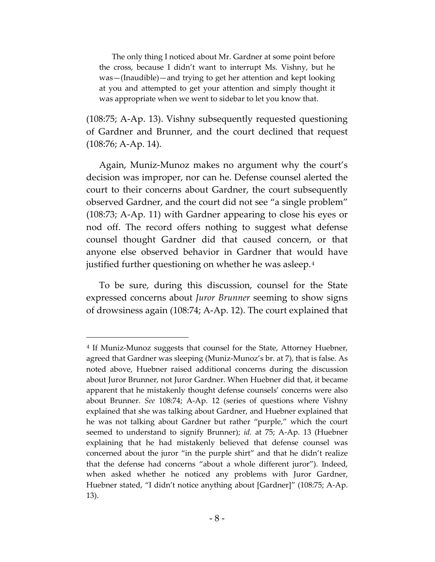The only thing I noticed about Mr. Gardner at some point before the cross, because I didn't want to interrupt Ms. Vishny, but he was—(Inaudible)—and trying to get her attention and kept looking at you and attempted to get your attention and simply thought it was appropriate when we went to sidebar to let you know that.

(108:75; A-Ap. 13). Vishny subsequently requested questioning of Gardner and Brunner, and the court declined that request (108:76; A-Ap. 14).

Again, Muniz-Munoz makes no argument why the court's decision was improper, nor can he. Defense counsel alerted the court to their concerns about Gardner, the court subsequently observed Gardner, and the court did not see "a single problem" (108:73; A-Ap. 11) with Gardner appearing to close his eyes or nod off. The record offers nothing to suggest what defense counsel thought Gardner did that caused concern, or that anyone else observed behavior in Gardner that would have justified further questioning on whether he was asleep.[4](#page-14-0)

To be sure, during this discussion, counsel for the State expressed concerns about *Juror Brunner* seeming to show signs of drowsiness again (108:74; A-Ap. 12). The court explained that

 $\overline{a}$ 

<span id="page-14-0"></span><sup>4</sup> If Muniz-Munoz suggests that counsel for the State, Attorney Huebner, agreed that Gardner was sleeping (Muniz-Munoz's br. at 7), that is false. As noted above, Huebner raised additional concerns during the discussion about Juror Brunner, not Juror Gardner. When Huebner did that, it became apparent that he mistakenly thought defense counsels' concerns were also about Brunner. *See* 108:74; A-Ap. 12 (series of questions where Vishny explained that she was talking about Gardner, and Huebner explained that he was not talking about Gardner but rather "purple," which the court seemed to understand to signify Brunner); *id.* at 75; A-Ap. 13 (Huebner explaining that he had mistakenly believed that defense counsel was concerned about the juror "in the purple shirt" and that he didn't realize that the defense had concerns "about a whole different juror"). Indeed, when asked whether he noticed any problems with Juror Gardner, Huebner stated, "I didn't notice anything about [Gardner]" (108:75; A-Ap. 13).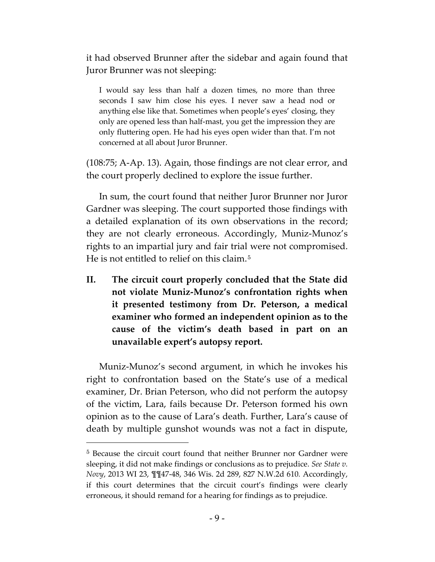it had observed Brunner after the sidebar and again found that Juror Brunner was not sleeping:

I would say less than half a dozen times, no more than three seconds I saw him close his eyes. I never saw a head nod or anything else like that. Sometimes when people's eyes' closing, they only are opened less than half-mast, you get the impression they are only fluttering open. He had his eyes open wider than that. I'm not concerned at all about Juror Brunner.

(108:75; A-Ap. 13). Again, those findings are not clear error, and the court properly declined to explore the issue further.

In sum, the court found that neither Juror Brunner nor Juror Gardner was sleeping. The court supported those findings with a detailed explanation of its own observations in the record; they are not clearly erroneous. Accordingly, Muniz-Munoz's rights to an impartial jury and fair trial were not compromised. He is not entitled to relief on this claim.<sup>[5](#page-15-0)</sup>

**II. The circuit court properly concluded that the State did not violate Muniz-Munoz's confrontation rights when it presented testimony from Dr. Peterson, a medical examiner who formed an independent opinion as to the cause of the victim's death based in part on an unavailable expert's autopsy report.**

Muniz-Munoz's second argument, in which he invokes his right to confrontation based on the State's use of a medical examiner, Dr. Brian Peterson, who did not perform the autopsy of the victim, Lara, fails because Dr. Peterson formed his own opinion as to the cause of Lara's death. Further, Lara's cause of death by multiple gunshot wounds was not a fact in dispute,

<span id="page-15-0"></span><sup>5</sup> Because the circuit court found that neither Brunner nor Gardner were sleeping, it did not make findings or conclusions as to prejudice. *See State v. Novy*, 2013 WI 23, ¶¶47-48, 346 Wis. 2d 289, 827 N.W.2d 610*.* Accordingly, if this court determines that the circuit court's findings were clearly erroneous, it should remand for a hearing for findings as to prejudice.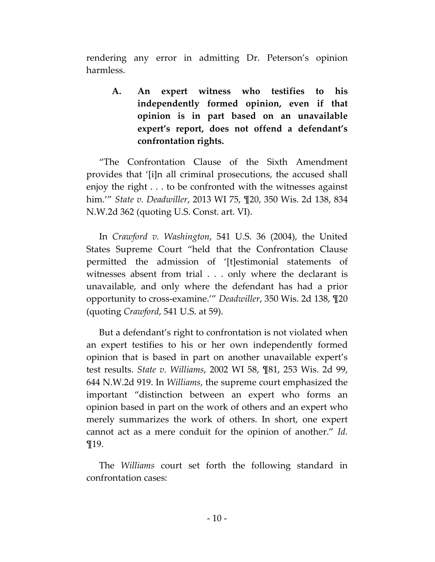rendering any error in admitting Dr. Peterson's opinion harmless.

**A. An expert witness who testifies to his independently formed opinion, even if that opinion is in part based on an unavailable expert's report, does not offend a defendant's confrontation rights.**

"The Confrontation Clause of the Sixth Amendment provides that '[i]n all criminal prosecutions, the accused shall enjoy the right . . . to be confronted with the witnesses against him.'" *State v. Deadwiller*, 2013 WI 75, ¶20, 350 Wis. 2d 138, 834 N.W.2d 362 (quoting U.S. Const. art. VI).

In *Crawford v. Washington*, 541 U.S. 36 (2004), the United States Supreme Court "held that the Confrontation Clause permitted the admission of '[t]estimonial statements of witnesses absent from trial . . . only where the declarant is unavailable, and only where the defendant has had a prior opportunity to cross-examine.'" *Deadwiller*, 350 Wis. 2d 138, ¶20 (quoting *Crawford*, 541 U.S. at 59).

But a defendant's right to confrontation is not violated when an expert testifies to his or her own independently formed opinion that is based in part on another unavailable expert's test results. *State v. Williams*, 2002 WI 58, ¶81, 253 Wis. 2d 99, 644 N.W.2d 919. In *Williams*, the supreme court emphasized the important "distinction between an expert who forms an opinion based in part on the work of others and an expert who merely summarizes the work of others. In short, one expert cannot act as a mere conduit for the opinion of another." *Id.* ¶19.

The *Williams* court set forth the following standard in confrontation cases: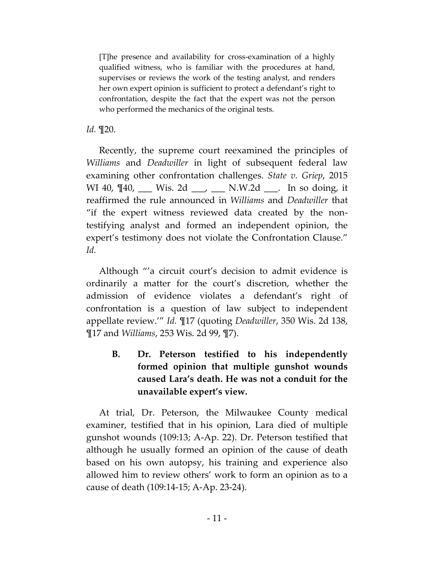[T]he presence and availability for cross-examination of a highly qualified witness, who is familiar with the procedures at hand, supervises or reviews the work of the testing analyst, and renders her own expert opinion is sufficient to protect a defendant's right to confrontation, despite the fact that the expert was not the person who performed the mechanics of the original tests.

## *Id.* ¶20.

Recently, the supreme court reexamined the principles of *Williams* and *Deadwiller* in light of subsequent federal law examining other confrontation challenges. *State v. Griep*, 2015 WI 40,  $\P$ 40, \_\_\_ Wis. 2d \_\_\_, \_\_\_ N.W.2d \_\_\_. In so doing, it reaffirmed the rule announced in *Williams* and *Deadwiller* that "if the expert witness reviewed data created by the nontestifying analyst and formed an independent opinion, the expert's testimony does not violate the Confrontation Clause." *Id.*

Although "'a circuit court's decision to admit evidence is ordinarily a matter for the court's discretion, whether the admission of evidence violates a defendant's right of confrontation is a question of law subject to independent appellate review.'" *Id.* ¶17 (quoting *Deadwiller*, 350 Wis. 2d 138, ¶17 and *Williams*, 253 Wis. 2d 99, ¶7).

**B. Dr. Peterson testified to his independently formed opinion that multiple gunshot wounds caused Lara's death. He was not a conduit for the unavailable expert's view.**

At trial, Dr. Peterson, the Milwaukee County medical examiner, testified that in his opinion, Lara died of multiple gunshot wounds (109:13; A-Ap. 22). Dr. Peterson testified that although he usually formed an opinion of the cause of death based on his own autopsy, his training and experience also allowed him to review others' work to form an opinion as to a cause of death (109:14-15; A-Ap. 23-24).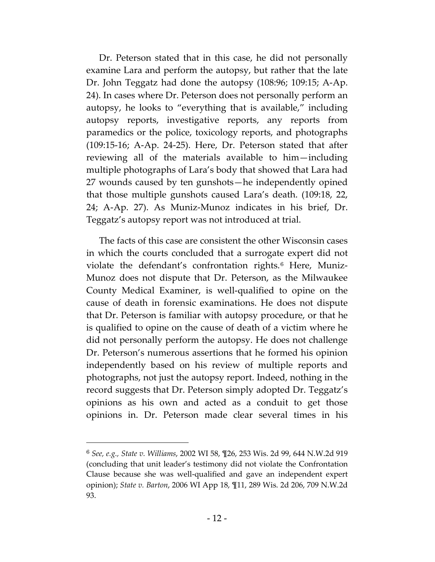Dr. Peterson stated that in this case, he did not personally examine Lara and perform the autopsy, but rather that the late Dr. John Teggatz had done the autopsy (108:96; 109:15; A-Ap. 24). In cases where Dr. Peterson does not personally perform an autopsy, he looks to "everything that is available," including autopsy reports, investigative reports, any reports from paramedics or the police, toxicology reports, and photographs (109:15-16; A-Ap. 24-25). Here, Dr. Peterson stated that after reviewing all of the materials available to him—including multiple photographs of Lara's body that showed that Lara had 27 wounds caused by ten gunshots—he independently opined that those multiple gunshots caused Lara's death. (109:18, 22, 24; A-Ap. 27). As Muniz-Munoz indicates in his brief, Dr. Teggatz's autopsy report was not introduced at trial.

The facts of this case are consistent the other Wisconsin cases in which the courts concluded that a surrogate expert did not violate the defendant's confrontation rights.<sup>[6](#page-18-0)</sup> Here, Muniz-Munoz does not dispute that Dr. Peterson, as the Milwaukee County Medical Examiner, is well-qualified to opine on the cause of death in forensic examinations. He does not dispute that Dr. Peterson is familiar with autopsy procedure, or that he is qualified to opine on the cause of death of a victim where he did not personally perform the autopsy. He does not challenge Dr. Peterson's numerous assertions that he formed his opinion independently based on his review of multiple reports and photographs, not just the autopsy report. Indeed, nothing in the record suggests that Dr. Peterson simply adopted Dr. Teggatz's opinions as his own and acted as a conduit to get those opinions in. Dr. Peterson made clear several times in his

<span id="page-18-0"></span><sup>6</sup> *See, e.g., State v. Williams*, 2002 WI 58, ¶26, 253 Wis. 2d 99, 644 N.W.2d 919 (concluding that unit leader's testimony did not violate the Confrontation Clause because she was well-qualified and gave an independent expert opinion); *State v. Barton*, 2006 WI App 18, ¶11, 289 Wis. 2d 206, 709 N.W.2d 93.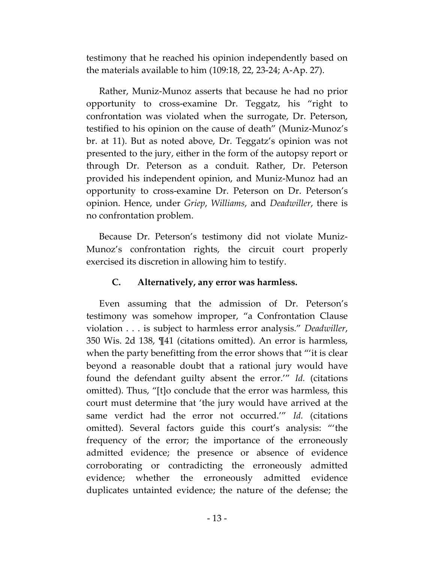testimony that he reached his opinion independently based on the materials available to him (109:18, 22, 23-24; A-Ap. 27).

Rather, Muniz-Munoz asserts that because he had no prior opportunity to cross-examine Dr. Teggatz, his "right to confrontation was violated when the surrogate, Dr. Peterson, testified to his opinion on the cause of death" (Muniz-Munoz's br. at 11). But as noted above, Dr. Teggatz's opinion was not presented to the jury, either in the form of the autopsy report or through Dr. Peterson as a conduit. Rather, Dr. Peterson provided his independent opinion, and Muniz-Munoz had an opportunity to cross-examine Dr. Peterson on Dr. Peterson's opinion. Hence, under *Griep*, *Williams*, and *Deadwiller*, there is no confrontation problem.

Because Dr. Peterson's testimony did not violate Muniz-Munoz's confrontation rights, the circuit court properly exercised its discretion in allowing him to testify.

## **C. Alternatively, any error was harmless.**

Even assuming that the admission of Dr. Peterson's testimony was somehow improper, "a Confrontation Clause violation . . . is subject to harmless error analysis." *Deadwiller*, 350 Wis. 2d 138, ¶41 (citations omitted). An error is harmless, when the party benefitting from the error shows that "'it is clear beyond a reasonable doubt that a rational jury would have found the defendant guilty absent the error.'" *Id.* (citations omitted). Thus, "[t]o conclude that the error was harmless, this court must determine that 'the jury would have arrived at the same verdict had the error not occurred.'" *Id.* (citations omitted). Several factors guide this court's analysis: "'the frequency of the error; the importance of the erroneously admitted evidence; the presence or absence of evidence corroborating or contradicting the erroneously admitted evidence; whether the erroneously admitted evidence duplicates untainted evidence; the nature of the defense; the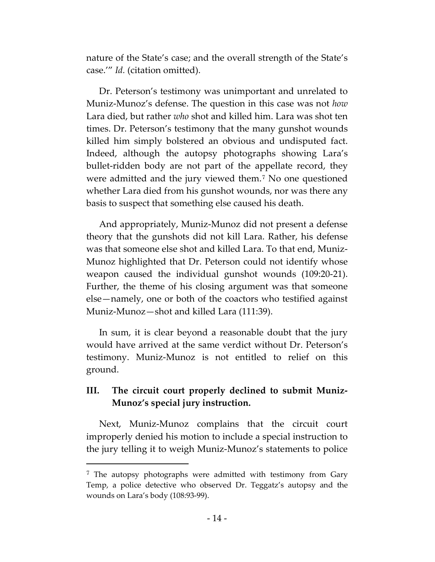nature of the State's case; and the overall strength of the State's case.'" *Id.* (citation omitted).

Dr. Peterson's testimony was unimportant and unrelated to Muniz-Munoz's defense. The question in this case was not *how* Lara died, but rather *who* shot and killed him. Lara was shot ten times. Dr. Peterson's testimony that the many gunshot wounds killed him simply bolstered an obvious and undisputed fact. Indeed, although the autopsy photographs showing Lara's bullet-ridden body are not part of the appellate record, they were admitted and the jury viewed them.[7](#page-20-0) No one questioned whether Lara died from his gunshot wounds, nor was there any basis to suspect that something else caused his death.

And appropriately, Muniz-Munoz did not present a defense theory that the gunshots did not kill Lara. Rather, his defense was that someone else shot and killed Lara. To that end, Muniz-Munoz highlighted that Dr. Peterson could not identify whose weapon caused the individual gunshot wounds (109:20-21). Further, the theme of his closing argument was that someone else—namely, one or both of the coactors who testified against Muniz-Munoz—shot and killed Lara (111:39).

In sum, it is clear beyond a reasonable doubt that the jury would have arrived at the same verdict without Dr. Peterson's testimony. Muniz-Munoz is not entitled to relief on this ground.

## **III. The circuit court properly declined to submit Muniz-Munoz's special jury instruction.**

Next, Muniz-Munoz complains that the circuit court improperly denied his motion to include a special instruction to the jury telling it to weigh Muniz-Munoz's statements to police

<span id="page-20-0"></span><sup>&</sup>lt;sup>7</sup> The autopsy photographs were admitted with testimony from Gary Temp, a police detective who observed Dr. Teggatz's autopsy and the wounds on Lara's body (108:93-99).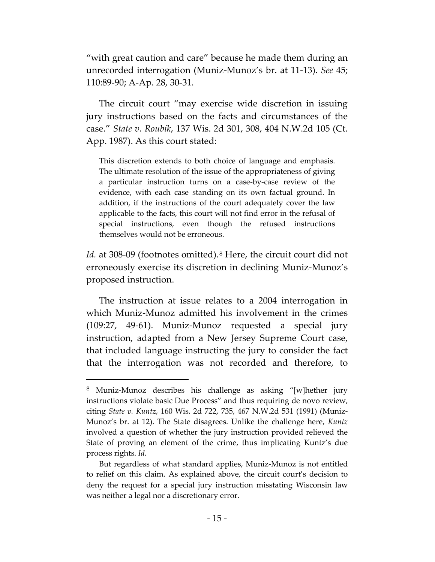"with great caution and care" because he made them during an unrecorded interrogation (Muniz-Munoz's br. at 11-13). *See* 45; 110:89-90; A-Ap. 28, 30-31.

The circuit court "may exercise wide discretion in issuing jury instructions based on the facts and circumstances of the case." *State v. Roubik*, 137 Wis. 2d 301, 308, 404 N.W.2d 105 (Ct. App. 1987). As this court stated:

This discretion extends to both choice of language and emphasis. The ultimate resolution of the issue of the appropriateness of giving a particular instruction turns on a case-by-case review of the evidence, with each case standing on its own factual ground. In addition, if the instructions of the court adequately cover the law applicable to the facts, this court will not find error in the refusal of special instructions, even though the refused instructions themselves would not be erroneous.

Id. at 30[8](#page-21-0)-09 (footnotes omitted).<sup>8</sup> Here, the circuit court did not erroneously exercise its discretion in declining Muniz-Munoz's proposed instruction.

The instruction at issue relates to a 2004 interrogation in which Muniz-Munoz admitted his involvement in the crimes (109:27, 49-61). Muniz-Munoz requested a special jury instruction, adapted from a New Jersey Supreme Court case, that included language instructing the jury to consider the fact that the interrogation was not recorded and therefore, to

 $\overline{a}$ 

<span id="page-21-0"></span><sup>8</sup> Muniz-Munoz describes his challenge as asking "[w]hether jury instructions violate basic Due Process" and thus requiring de novo review, citing *State v. Kuntz*, 160 Wis. 2d 722, 735, 467 N.W.2d 531 (1991) (Muniz-Munoz's br. at 12). The State disagrees. Unlike the challenge here, *Kuntz* involved a question of whether the jury instruction provided relieved the State of proving an element of the crime, thus implicating Kuntz's due process rights. *Id.*

But regardless of what standard applies, Muniz-Munoz is not entitled to relief on this claim. As explained above, the circuit court's decision to deny the request for a special jury instruction misstating Wisconsin law was neither a legal nor a discretionary error.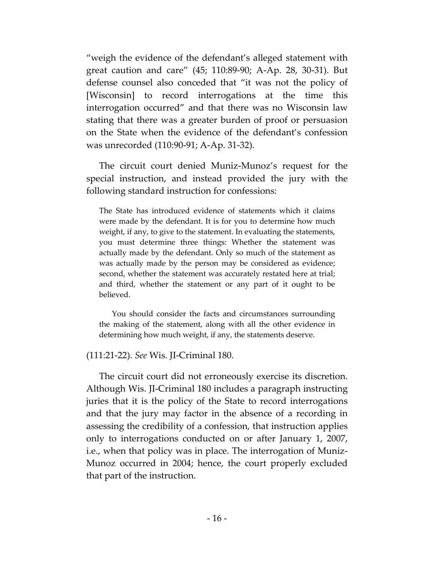"weigh the evidence of the defendant's alleged statement with great caution and care" (45; 110:89-90; A-Ap. 28, 30-31). But defense counsel also conceded that "it was not the policy of [Wisconsin] to record interrogations at the time this interrogation occurred" and that there was no Wisconsin law stating that there was a greater burden of proof or persuasion on the State when the evidence of the defendant's confession was unrecorded (110:90-91; A-Ap. 31-32).

The circuit court denied Muniz-Munoz's request for the special instruction, and instead provided the jury with the following standard instruction for confessions:

The State has introduced evidence of statements which it claims were made by the defendant. It is for you to determine how much weight, if any, to give to the statement. In evaluating the statements, you must determine three things: Whether the statement was actually made by the defendant. Only so much of the statement as was actually made by the person may be considered as evidence; second, whether the statement was accurately restated here at trial; and third, whether the statement or any part of it ought to be believed.

You should consider the facts and circumstances surrounding the making of the statement, along with all the other evidence in determining how much weight, if any, the statements deserve.

## (111:21-22). *See* Wis. JI-Criminal 180.

The circuit court did not erroneously exercise its discretion. Although Wis. JI-Criminal 180 includes a paragraph instructing juries that it is the policy of the State to record interrogations and that the jury may factor in the absence of a recording in assessing the credibility of a confession, that instruction applies only to interrogations conducted on or after January 1, 2007, i.e., when that policy was in place. The interrogation of Muniz-Munoz occurred in 2004; hence, the court properly excluded that part of the instruction.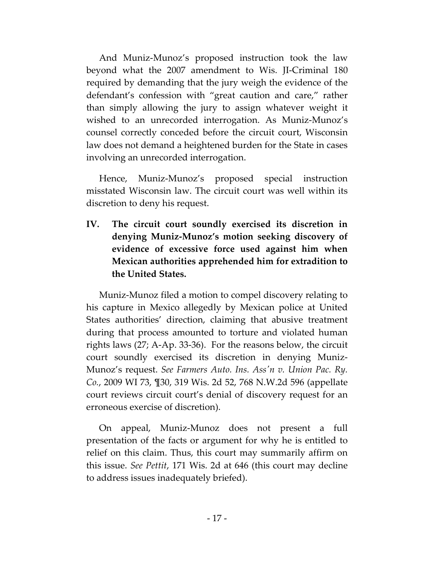And Muniz-Munoz's proposed instruction took the law beyond what the 2007 amendment to Wis. JI-Criminal 180 required by demanding that the jury weigh the evidence of the defendant's confession with "great caution and care," rather than simply allowing the jury to assign whatever weight it wished to an unrecorded interrogation. As Muniz-Munoz's counsel correctly conceded before the circuit court, Wisconsin law does not demand a heightened burden for the State in cases involving an unrecorded interrogation.

Hence, Muniz-Munoz's proposed special instruction misstated Wisconsin law. The circuit court was well within its discretion to deny his request.

**IV. The circuit court soundly exercised its discretion in denying Muniz-Munoz's motion seeking discovery of evidence of excessive force used against him when Mexican authorities apprehended him for extradition to the United States.**

Muniz-Munoz filed a motion to compel discovery relating to his capture in Mexico allegedly by Mexican police at United States authorities' direction, claiming that abusive treatment during that process amounted to torture and violated human rights laws (27; A-Ap. 33-36). For the reasons below, the circuit court soundly exercised its discretion in denying Muniz-Munoz's request. *See Farmers Auto. Ins. Ass'n v. Union Pac. Ry. Co.*, 2009 WI 73, ¶30, 319 Wis. 2d 52, 768 N.W.2d 596 (appellate court reviews circuit court's denial of discovery request for an erroneous exercise of discretion).

On appeal, Muniz-Munoz does not present a full presentation of the facts or argument for why he is entitled to relief on this claim. Thus, this court may summarily affirm on this issue. *See Pettit*, 171 Wis. 2d at 646 (this court may decline to address issues inadequately briefed).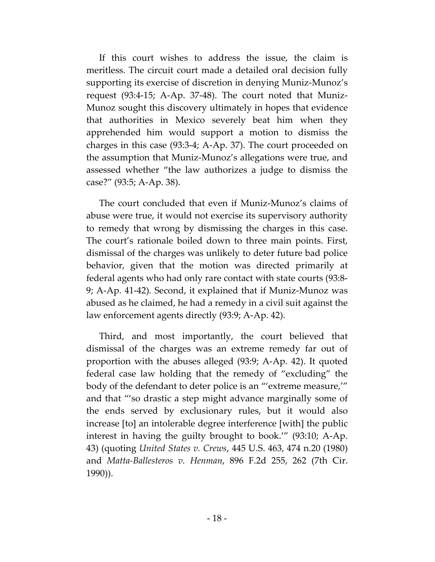If this court wishes to address the issue, the claim is meritless. The circuit court made a detailed oral decision fully supporting its exercise of discretion in denying Muniz-Munoz's request (93:4-15; A-Ap. 37-48). The court noted that Muniz-Munoz sought this discovery ultimately in hopes that evidence that authorities in Mexico severely beat him when they apprehended him would support a motion to dismiss the charges in this case (93:3-4; A-Ap. 37). The court proceeded on the assumption that Muniz-Munoz's allegations were true, and assessed whether "the law authorizes a judge to dismiss the case?" (93:5; A-Ap. 38).

The court concluded that even if Muniz-Munoz's claims of abuse were true, it would not exercise its supervisory authority to remedy that wrong by dismissing the charges in this case. The court's rationale boiled down to three main points. First, dismissal of the charges was unlikely to deter future bad police behavior, given that the motion was directed primarily at federal agents who had only rare contact with state courts (93:8- 9; A-Ap. 41-42). Second, it explained that if Muniz-Munoz was abused as he claimed, he had a remedy in a civil suit against the law enforcement agents directly (93:9; A-Ap. 42).

Third, and most importantly, the court believed that dismissal of the charges was an extreme remedy far out of proportion with the abuses alleged (93:9; A-Ap. 42). It quoted federal case law holding that the remedy of "excluding" the body of the defendant to deter police is an "'extreme measure,'" and that "'so drastic a step might advance marginally some of the ends served by exclusionary rules, but it would also increase [to] an intolerable degree interference [with] the public interest in having the guilty brought to book.'" (93:10; A-Ap. 43) (quoting *United States v. Crews*, 445 U.S. 463, 474 n.20 (1980) and *Matta-Ballesteros v. Henman*, 896 F.2d 255, 262 (7th Cir. 1990)).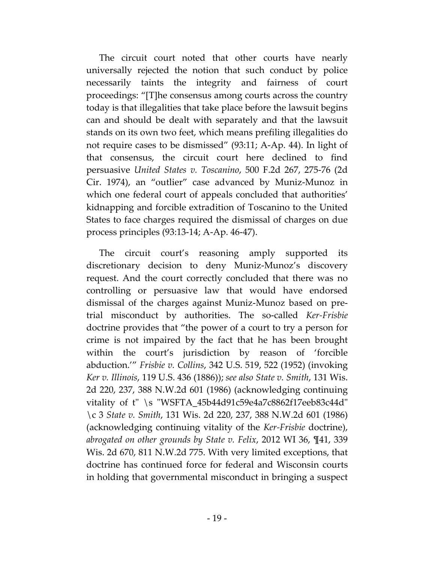The circuit court noted that other courts have nearly universally rejected the notion that such conduct by police necessarily taints the integrity and fairness of court proceedings: "[T]he consensus among courts across the country today is that illegalities that take place before the lawsuit begins can and should be dealt with separately and that the lawsuit stands on its own two feet, which means prefiling illegalities do not require cases to be dismissed" (93:11; A-Ap. 44). In light of that consensus, the circuit court here declined to find persuasive *United States v. Toscanino*, 500 F.2d 267, 275-76 (2d Cir. 1974), an "outlier" case advanced by Muniz-Munoz in which one federal court of appeals concluded that authorities' kidnapping and forcible extradition of Toscanino to the United States to face charges required the dismissal of charges on due process principles (93:13-14; A-Ap. 46-47).

The circuit court's reasoning amply supported its discretionary decision to deny Muniz-Munoz's discovery request. And the court correctly concluded that there was no controlling or persuasive law that would have endorsed dismissal of the charges against Muniz-Munoz based on pretrial misconduct by authorities. The so-called *Ker-Frisbie* doctrine provides that "the power of a court to try a person for crime is not impaired by the fact that he has been brought within the court's jurisdiction by reason of 'forcible abduction.'" *Frisbie v. Collins*, 342 U.S. 519, 522 (1952) (invoking *Ker v. Illinois*, 119 U.S. 436 (1886)); *see also State v. Smith*, 131 Wis. 2d 220, 237, 388 N.W.2d 601 (1986) (acknowledging continuing vitality of t" \s "WSFTA\_45b44d91c59e4a7c8862f17eeb83c44d" \c 3 *State v. Smith*, 131 Wis. 2d 220, 237, 388 N.W.2d 601 (1986) (acknowledging continuing vitality of the *Ker-Frisbie* doctrine), *abrogated on other grounds by State v. Felix*, 2012 WI 36, ¶41, 339 Wis. 2d 670, 811 N.W.2d 775. With very limited exceptions, that doctrine has continued force for federal and Wisconsin courts in holding that governmental misconduct in bringing a suspect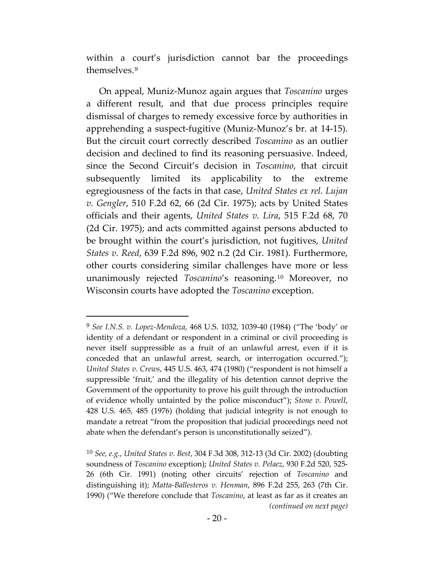within a court's jurisdiction cannot bar the proceedings themselves.[9](#page-26-0)

On appeal, Muniz-Munoz again argues that *Toscanino* urges a different result, and that due process principles require dismissal of charges to remedy excessive force by authorities in apprehending a suspect-fugitive (Muniz-Munoz's br. at 14-15). But the circuit court correctly described *Toscanino* as an outlier decision and declined to find its reasoning persuasive. Indeed, since the Second Circuit's decision in *Toscanino*, that circuit subsequently limited its applicability to the extreme egregiousness of the facts in that case, *United States ex rel. Lujan v. Gengler*, 510 F.2d 62, 66 (2d Cir. 1975); acts by United States officials and their agents, *United States v. Lira*, 515 F.2d 68, 70 (2d Cir. 1975); and acts committed against persons abducted to be brought within the court's jurisdiction, not fugitives, *United States v. Reed*, 639 F.2d 896, 902 n.2 (2d Cir. 1981). Furthermore, other courts considering similar challenges have more or less unanimously rejected *Toscanino*'s reasoning.[10](#page-26-1) Moreover, no Wisconsin courts have adopted the *Toscanino* exception.

 $\overline{a}$ 

<span id="page-26-0"></span><sup>9</sup> *See I.N.S. v. Lopez-Mendoza*, 468 U.S. 1032, 1039-40 (1984) ("The 'body' or identity of a defendant or respondent in a criminal or civil proceeding is never itself suppressible as a fruit of an unlawful arrest, even if it is conceded that an unlawful arrest, search, or interrogation occurred."); *United States v. Crews*, 445 U.S. 463, 474 (1980) ("respondent is not himself a suppressible 'fruit,' and the illegality of his detention cannot deprive the Government of the opportunity to prove his guilt through the introduction of evidence wholly untainted by the police misconduct"); *Stone v. PowelI*, 428 U.S. 465, 485 (1976) (holding that judicial integrity is not enough to mandate a retreat "from the proposition that judicial proceedings need not abate when the defendant's person is unconstitutionally seized").

<span id="page-26-1"></span><sup>10</sup> *See, e.g.*, *United States v. Best*, 304 F.3d 308, 312-13 (3d Cir. 2002) (doubting soundness of *Toscanino* exception); *United States v. Pelaez*, 930 F.2d 520, 525- 26 (6th Cir. 1991) (noting other circuits' rejection of *Toscanino* and distinguishing it); *Matta-Ballesteros v. Henman*, 896 F.2d 255, 263 (7th Cir. 1990) ("We therefore conclude that *Toscanino*, at least as far as it creates an *(continued on next page)*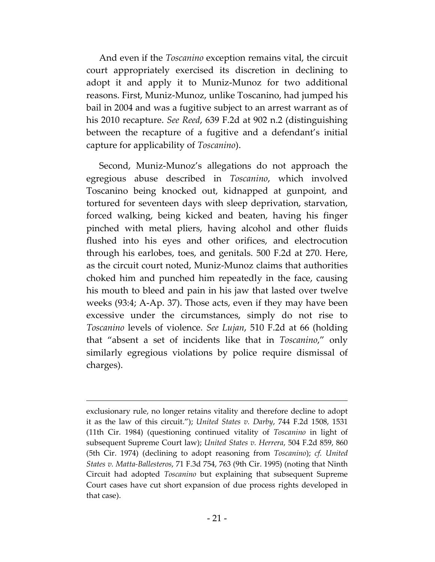And even if the *Toscanino* exception remains vital, the circuit court appropriately exercised its discretion in declining to adopt it and apply it to Muniz-Munoz for two additional reasons. First, Muniz-Munoz, unlike Toscanino, had jumped his bail in 2004 and was a fugitive subject to an arrest warrant as of his 2010 recapture. *See Reed*, 639 F.2d at 902 n.2 (distinguishing between the recapture of a fugitive and a defendant's initial capture for applicability of *Toscanino*).

Second, Muniz-Munoz's allegations do not approach the egregious abuse described in *Toscanino*, which involved Toscanino being knocked out, kidnapped at gunpoint, and tortured for seventeen days with sleep deprivation, starvation, forced walking, being kicked and beaten, having his finger pinched with metal pliers, having alcohol and other fluids flushed into his eyes and other orifices, and electrocution through his earlobes, toes, and genitals. 500 F.2d at 270. Here, as the circuit court noted, Muniz-Munoz claims that authorities choked him and punched him repeatedly in the face, causing his mouth to bleed and pain in his jaw that lasted over twelve weeks (93:4; A-Ap. 37). Those acts, even if they may have been excessive under the circumstances, simply do not rise to *Toscanino* levels of violence. *See Lujan*, 510 F.2d at 66 (holding that "absent a set of incidents like that in *Toscanino*," only similarly egregious violations by police require dismissal of charges).

 $\overline{a}$ 

exclusionary rule, no longer retains vitality and therefore decline to adopt it as the law of this circuit."); *United States v. Darby*, 744 F.2d 1508, 1531 (11th Cir. 1984) (questioning continued vitality of *Toscanino* in light of subsequent Supreme Court law); *United States v. Herrera*, 504 F.2d 859, 860 (5th Cir. 1974) (declining to adopt reasoning from *Toscanino*); *cf. United States v. Matta-Ballesteros*, 71 F.3d 754, 763 (9th Cir. 1995) (noting that Ninth Circuit had adopted *Toscanino* but explaining that subsequent Supreme Court cases have cut short expansion of due process rights developed in that case).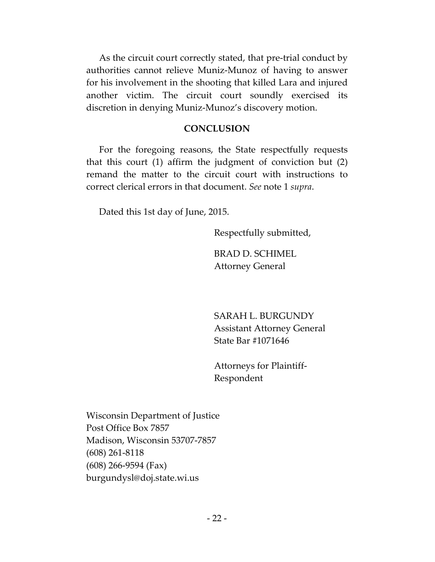As the circuit court correctly stated, that pre-trial conduct by authorities cannot relieve Muniz-Munoz of having to answer for his involvement in the shooting that killed Lara and injured another victim. The circuit court soundly exercised its discretion in denying Muniz-Munoz's discovery motion.

## **CONCLUSION**

For the foregoing reasons, the State respectfully requests that this court (1) affirm the judgment of conviction but (2) remand the matter to the circuit court with instructions to correct clerical errors in that document. *See* note 1 *supra*.

Dated this 1st day of June, 2015.

Respectfully submitted,

BRAD D. SCHIMEL Attorney General

SARAH L. BURGUNDY Assistant Attorney General State Bar #1071646

Attorneys for Plaintiff-Respondent

Wisconsin Department of Justice Post Office Box 7857 Madison, Wisconsin 53707-7857 (608) 261-8118 (608) 266-9594 (Fax) burgundysl@doj.state.wi.us